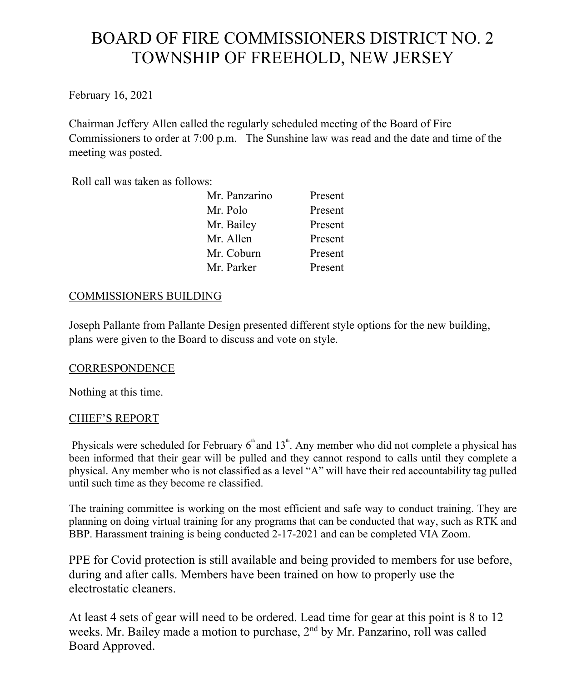# BOARD OF FIRE COMMISSIONERS DISTRICT NO. 2 TOWNSHIP OF FREEHOLD, NEW JERSEY

February 16, 2021

Chairman Jeffery Allen called the regularly scheduled meeting of the Board of Fire Commissioners to order at 7:00 p.m. The Sunshine law was read and the date and time of the meeting was posted.

Roll call was taken as follows:

| Present |
|---------|
| Present |
| Present |
| Present |
| Present |
| Present |
|         |

# COMMISSIONERS BUILDING

Joseph Pallante from Pallante Design presented different style options for the new building, plans were given to the Board to discuss and vote on style.

# **CORRESPONDENCE**

Nothing at this time.

# CHIEF'S REPORT

Physicals were scheduled for February  $6<sup>th</sup>$  and  $13<sup>th</sup>$ . Any member who did not complete a physical has been informed that their gear will be pulled and they cannot respond to calls until they complete a physical. Any member who is not classified as a level "A" will have their red accountability tag pulled until such time as they become re classified.

The training committee is working on the most efficient and safe way to conduct training. They are planning on doing virtual training for any programs that can be conducted that way, such as RTK and BBP. Harassment training is being conducted 2-17-2021 and can be completed VIA Zoom.

PPE for Covid protection is still available and being provided to members for use before, during and after calls. Members have been trained on how to properly use the electrostatic cleaners.

At least 4 sets of gear will need to be ordered. Lead time for gear at this point is 8 to 12 weeks. Mr. Bailey made a motion to purchase,  $2<sup>nd</sup>$  by Mr. Panzarino, roll was called Board Approved.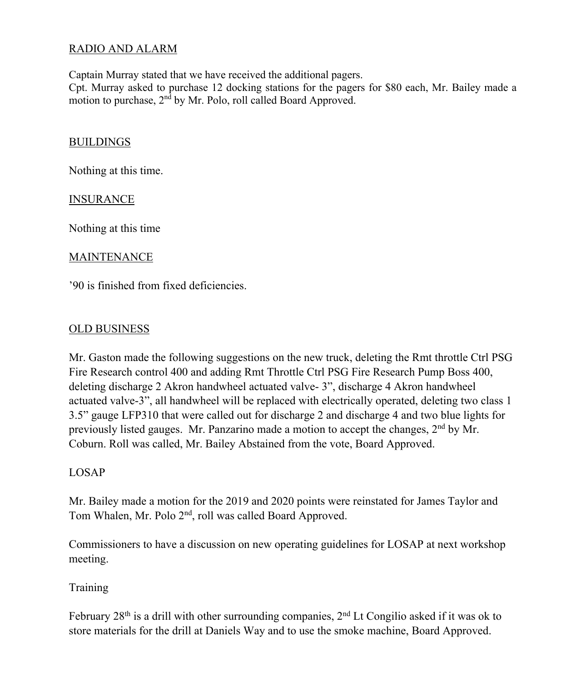# RADIO AND ALARM

Captain Murray stated that we have received the additional pagers.

Cpt. Murray asked to purchase 12 docking stations for the pagers for \$80 each, Mr. Bailey made a motion to purchase, 2<sup>nd</sup> by Mr. Polo, roll called Board Approved.

#### BUILDINGS

Nothing at this time.

#### INSURANCE

Nothing at this time

#### MAINTENANCE

'90 is finished from fixed deficiencies.

#### OLD BUSINESS

Mr. Gaston made the following suggestions on the new truck, deleting the Rmt throttle Ctrl PSG Fire Research control 400 and adding Rmt Throttle Ctrl PSG Fire Research Pump Boss 400, deleting discharge 2 Akron handwheel actuated valve- 3", discharge 4 Akron handwheel actuated valve-3", all handwheel will be replaced with electrically operated, deleting two class 1 3.5" gauge LFP310 that were called out for discharge 2 and discharge 4 and two blue lights for previously listed gauges. Mr. Panzarino made a motion to accept the changes, 2nd by Mr. Coburn. Roll was called, Mr. Bailey Abstained from the vote, Board Approved.

# LOSAP

Mr. Bailey made a motion for the 2019 and 2020 points were reinstated for James Taylor and Tom Whalen, Mr. Polo 2nd, roll was called Board Approved.

Commissioners to have a discussion on new operating guidelines for LOSAP at next workshop meeting.

# Training

February  $28<sup>th</sup>$  is a drill with other surrounding companies,  $2<sup>nd</sup>$  Lt Congilio asked if it was ok to store materials for the drill at Daniels Way and to use the smoke machine, Board Approved.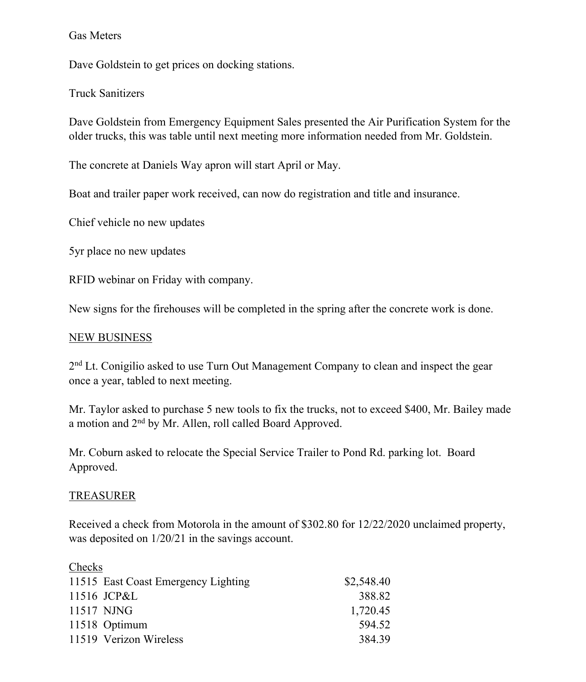#### Gas Meters

Dave Goldstein to get prices on docking stations.

Truck Sanitizers

Dave Goldstein from Emergency Equipment Sales presented the Air Purification System for the older trucks, this was table until next meeting more information needed from Mr. Goldstein.

The concrete at Daniels Way apron will start April or May.

Boat and trailer paper work received, can now do registration and title and insurance.

Chief vehicle no new updates

5yr place no new updates

RFID webinar on Friday with company.

New signs for the firehouses will be completed in the spring after the concrete work is done.

#### NEW BUSINESS

2<sup>nd</sup> Lt. Conigilio asked to use Turn Out Management Company to clean and inspect the gear once a year, tabled to next meeting.

Mr. Taylor asked to purchase 5 new tools to fix the trucks, not to exceed \$400, Mr. Bailey made a motion and 2nd by Mr. Allen, roll called Board Approved.

Mr. Coburn asked to relocate the Special Service Trailer to Pond Rd. parking lot. Board Approved.

#### TREASURER

Received a check from Motorola in the amount of \$302.80 for 12/22/2020 unclaimed property, was deposited on 1/20/21 in the savings account.

| Checks                              |            |
|-------------------------------------|------------|
| 11515 East Coast Emergency Lighting | \$2,548.40 |
| 11516 JCP&L                         | 388.82     |
| 11517 NJNG                          | 1,720.45   |
| 11518 Optimum                       | 594.52     |
| 11519 Verizon Wireless              | 384.39     |